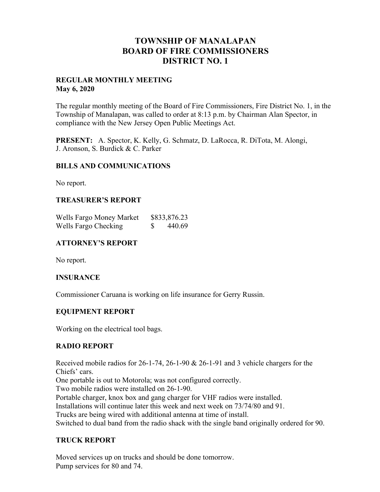## **TOWNSHIP OF MANALAPAN BOARD OF FIRE COMMISSIONERS DISTRICT NO. 1**

## **REGULAR MONTHLY MEETING May 6, 2020**

The regular monthly meeting of the Board of Fire Commissioners, Fire District No. 1, in the Township of Manalapan, was called to order at 8:13 p.m. by Chairman Alan Spector, in compliance with the New Jersey Open Public Meetings Act.

**PRESENT:** A. Spector, K. Kelly, G. Schmatz, D. LaRocca, R. DiTota, M. Alongi, J. Aronson, S. Burdick & C. Parker

## **BILLS AND COMMUNICATIONS**

No report.

## **TREASURER'S REPORT**

| Wells Fargo Money Market | \$833,876.23 |
|--------------------------|--------------|
| Wells Fargo Checking     | 440.69       |

## **ATTORNEY'S REPORT**

No report.

#### **INSURANCE**

Commissioner Caruana is working on life insurance for Gerry Russin.

## **EQUIPMENT REPORT**

Working on the electrical tool bags.

## **RADIO REPORT**

Received mobile radios for 26-1-74, 26-1-90 & 26-1-91 and 3 vehicle chargers for the Chiefs' cars.

One portable is out to Motorola; was not configured correctly.

Two mobile radios were installed on 26-1-90.

Portable charger, knox box and gang charger for VHF radios were installed.

Installations will continue later this week and next week on 73/74/80 and 91.

Trucks are being wired with additional antenna at time of install.

Switched to dual band from the radio shack with the single band originally ordered for 90.

## **TRUCK REPORT**

Moved services up on trucks and should be done tomorrow. Pump services for 80 and 74.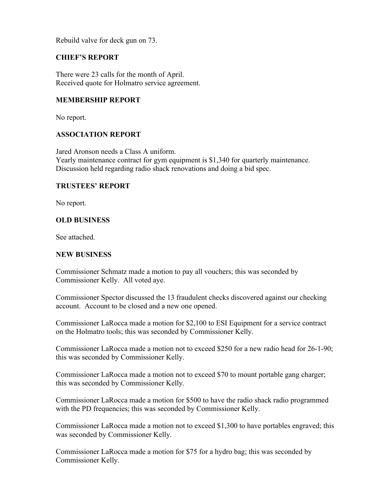Rebuild valve for deck gun on 73.

## **CHIEF'S REPORT**

There were 23 calls for the month of April. Received quote for Holmatro service agreement.

## **MEMBERSHIP REPORT**

No report.

## **ASSOCIATION REPORT**

Jared Aronson needs a Class A uniform. Yearly maintenance contract for gym equipment is \$1,340 for quarterly maintenance. Discussion held regarding radio shack renovations and doing a bid spec.

#### **TRUSTEES' REPORT**

No report.

## **OLD BUSINESS**

See attached.

## **NEW BUSINESS**

Commissioner Schmatz made a motion to pay all vouchers; this was seconded by Commissioner Kelly. All voted aye.

Commissioner Spector discussed the 13 fraudulent checks discovered against our checking account. Account to be closed and a new one opened.

Commissioner LaRocca made a motion for \$2,100 to ESI Equipment for a service contract on the Holmatro tools; this was seconded by Commissioner Kelly.

Commissioner LaRocca made a motion not to exceed \$250 for a new radio head for 26-1-90; this was seconded by Commissioner Kelly.

Commissioner LaRocca made a motion not to exceed \$70 to mount portable gang charger; this was seconded by Commissioner Kelly.

Commissioner LaRocca made a motion for \$500 to have the radio shack radio programmed with the PD frequencies; this was seconded by Commissioner Kelly.

Commissioner LaRocca made a motion not to exceed \$1,300 to have portables engraved; this was seconded by Commissioner Kelly.

Commissioner LaRocca made a motion for \$75 for a hydro bag; this was seconded by Commissioner Kelly.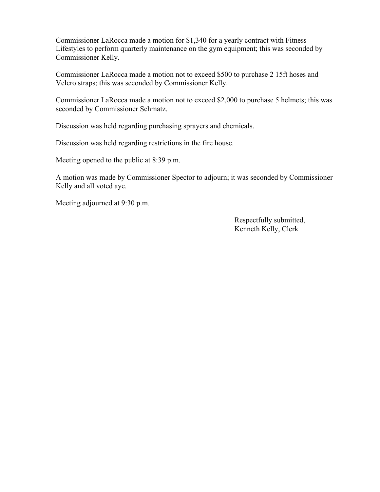Commissioner LaRocca made a motion for \$1,340 for a yearly contract with Fitness Lifestyles to perform quarterly maintenance on the gym equipment; this was seconded by Commissioner Kelly.

Commissioner LaRocca made a motion not to exceed \$500 to purchase 2 15ft hoses and Velcro straps; this was seconded by Commissioner Kelly.

Commissioner LaRocca made a motion not to exceed \$2,000 to purchase 5 helmets; this was seconded by Commissioner Schmatz.

Discussion was held regarding purchasing sprayers and chemicals.

Discussion was held regarding restrictions in the fire house.

Meeting opened to the public at 8:39 p.m.

A motion was made by Commissioner Spector to adjourn; it was seconded by Commissioner Kelly and all voted aye.

Meeting adjourned at 9:30 p.m.

 Respectfully submitted, Kenneth Kelly, Clerk